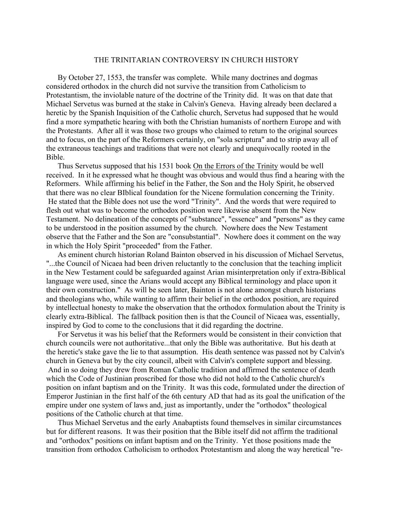## THE TRINITARIAN CONTROVERSY IN CHURCH HISTORY

By October 27, 1553, the transfer was complete. While many doctrines and dogmas considered orthodox in the church did not survive the transition from Catholicism to Protestantism, the inviolable nature of the doctrine of the Trinity did. It was on that date that Michael Servetus was burned at the stake in Calvin's Geneva. Having already been declared a heretic by the Spanish Inquisition of the Catholic church, Servetus had supposed that he would find a more sympathetic hearing with both the Christian humanists of northern Europe and with the Protestants. After all it was those two groups who claimed to return to the original sources and to focus, on the part of the Reformers certainly, on "sola scriptura" and to strip away all of the extraneous teachings and traditions that were not clearly and unequivocally rooted in the Bible.

Thus Servetus supposed that his 1531 book On the Errors of the Trinity would be well received. In it he expressed what he thought was obvious and would thus find a hearing with the Reformers. While affirming his belief in the Father, the Son and the Holy Spirit, he observed that there was no clear BIblical foundation for the Nicene formulation concerning the Trinity. He stated that the Bible does not use the word "Trinity". And the words that were required to flesh out what was to become the orthodox position were likewise absent from the New Testament. No delineation of the concepts of "substance", "essence" and "persons" as they came to be understood in the position assumed by the church. Nowhere does the New Testament observe that the Father and the Son are "consubstantial". Nowhere does it comment on the way in which the Holy Spirit "proceeded" from the Father.

As eminent church historian Roland Bainton observed in his discussion of Michael Servetus, "...the Council of Nicaea had been driven reluctantly to the conclusion that the teaching implicit in the New Testament could be safeguarded against Arian misinterpretation only if extra-Biblical language were used, since the Arians would accept any Biblical terminology and place upon it their own construction." As will be seen later, Bainton is not alone amongst church historians and theologians who, while wanting to affirm their belief in the orthodox position, are required by intellectual honesty to make the observation that the orthodox formulation about the Trinity is clearly extra-Biblical. The fallback position then is that the Council of Nicaea was, essentially, inspired by God to come to the conclusions that it did regarding the doctrine.

For Servetus it was his belief that the Reformers would be consistent in their conviction that church councils were not authoritative...that only the Bible was authoritative. But his death at the heretic's stake gave the lie to that assumption. His death sentence was passed not by Calvin's church in Geneva but by the city council, albeit with Calvin's complete support and blessing. And in so doing they drew from Roman Catholic tradition and affirmed the sentence of death which the Code of Justinian proscribed for those who did not hold to the Catholic church's position on infant baptism and on the Trinity. It was this code, formulated under the direction of Emperor Justinian in the first half of the 6th century AD that had as its goal the unification of the empire under one system of laws and, just as importantly, under the "orthodox" theological positions of the Catholic church at that time.

Thus Michael Servetus and the early Anabaptists found themselves in similar circumstances but for different reasons. It was their position that the Bible itself did not affirm the traditional and "orthodox" positions on infant baptism and on the Trinity. Yet those positions made the transition from orthodox Catholicism to orthodox Protestantism and along the way heretical "re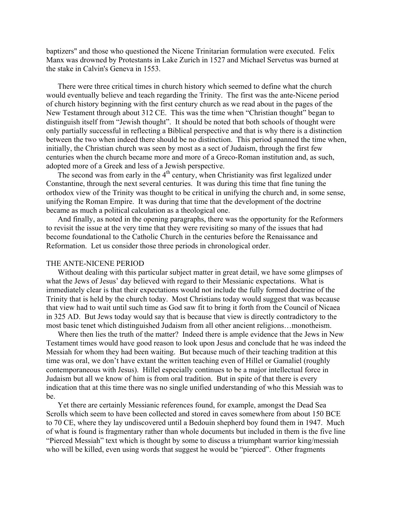baptizers" and those who questioned the Nicene Trinitarian formulation were executed. Felix Manx was drowned by Protestants in Lake Zurich in 1527 and Michael Servetus was burned at the stake in Calvin's Geneva in 1553.

There were three critical times in church history which seemed to define what the church would eventually believe and teach regarding the Trinity. The first was the ante-Nicene period of church history beginning with the first century church as we read about in the pages of the New Testament through about 312 CE. This was the time when "Christian thought" began to distinguish itself from "Jewish thought". It should be noted that both schools of thought were only partially successful in reflecting a Biblical perspective and that is why there is a distinction between the two when indeed there should be no distinction. This period spanned the time when, initially, the Christian church was seen by most as a sect of Judaism, through the first few centuries when the church became more and more of a Greco-Roman institution and, as such, adopted more of a Greek and less of a Jewish perspective.

The second was from early in the  $4<sup>th</sup>$  century, when Christianity was first legalized under Constantine, through the next several centuries. It was during this time that fine tuning the orthodox view of the Trinity was thought to be critical in unifying the church and, in some sense, unifying the Roman Empire. It was during that time that the development of the doctrine became as much a political calculation as a theological one.

And finally, as noted in the opening paragraphs, there was the opportunity for the Reformers to revisit the issue at the very time that they were revisiting so many of the issues that had become foundational to the Catholic Church in the centuries before the Renaissance and Reformation. Let us consider those three periods in chronological order.

## THE ANTE-NICENE PERIOD

Without dealing with this particular subject matter in great detail, we have some glimpses of what the Jews of Jesus' day believed with regard to their Messianic expectations. What is immediately clear is that their expectations would not include the fully formed doctrine of the Trinity that is held by the church today. Most Christians today would suggest that was because that view had to wait until such time as God saw fit to bring it forth from the Council of Nicaea in 325 AD. But Jews today would say that is because that view is directly contradictory to the most basic tenet which distinguished Judaism from all other ancient religions…monotheism.

Where then lies the truth of the matter? Indeed there is ample evidence that the Jews in New Testament times would have good reason to look upon Jesus and conclude that he was indeed the Messiah for whom they had been waiting. But because much of their teaching tradition at this time was oral, we don't have extant the written teaching even of Hillel or Gamaliel (roughly contemporaneous with Jesus). Hillel especially continues to be a major intellectual force in Judaism but all we know of him is from oral tradition. But in spite of that there is every indication that at this time there was no single unified understanding of who this Messiah was to be.

Yet there are certainly Messianic references found, for example, amongst the Dead Sea Scrolls which seem to have been collected and stored in caves somewhere from about 150 BCE to 70 CE, where they lay undiscovered until a Bedouin shepherd boy found them in 1947. Much of what is found is fragmentary rather than whole documents but included in them is the five line "Pierced Messiah" text which is thought by some to discuss a triumphant warrior king/messiah who will be killed, even using words that suggest he would be "pierced". Other fragments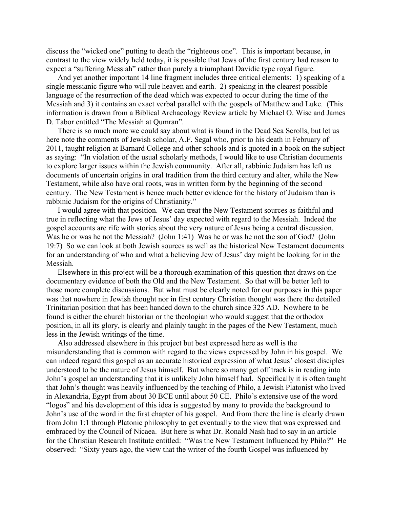discuss the "wicked one" putting to death the "righteous one". This is important because, in contrast to the view widely held today, it is possible that Jews of the first century had reason to expect a "suffering Messiah" rather than purely a triumphant Davidic type royal figure.

And yet another important 14 line fragment includes three critical elements: 1) speaking of a single messianic figure who will rule heaven and earth. 2) speaking in the clearest possible language of the resurrection of the dead which was expected to occur during the time of the Messiah and 3) it contains an exact verbal parallel with the gospels of Matthew and Luke. (This information is drawn from a Biblical Archaeology Review article by Michael O. Wise and James D. Tabor entitled "The Messiah at Qumran".

There is so much more we could say about what is found in the Dead Sea Scrolls, but let us here note the comments of Jewish scholar, A.F. Segal who, prior to his death in February of 2011, taught religion at Barnard College and other schools and is quoted in a book on the subject as saying: "In violation of the usual scholarly methods, I would like to use Christian documents to explore larger issues within the Jewish community. After all, rabbinic Judaism has left us documents of uncertain origins in oral tradition from the third century and alter, while the New Testament, while also have oral roots, was in written form by the beginning of the second century. The New Testament is hence much better evidence for the history of Judaism than is rabbinic Judaism for the origins of Christianity."

I would agree with that position. We can treat the New Testament sources as faithful and true in reflecting what the Jews of Jesus' day expected with regard to the Messiah. Indeed the gospel accounts are rife with stories about the very nature of Jesus being a central discussion. Was he or was he not the Messiah? (John 1:41) Was he or was he not the son of God? (John 19:7) So we can look at both Jewish sources as well as the historical New Testament documents for an understanding of who and what a believing Jew of Jesus' day might be looking for in the Messiah.

Elsewhere in this project will be a thorough examination of this question that draws on the documentary evidence of both the Old and the New Testament. So that will be better left to those more complete discussions. But what must be clearly noted for our purposes in this paper was that nowhere in Jewish thought nor in first century Christian thought was there the detailed Trinitarian position that has been handed down to the church since 325 AD. Nowhere to be found is either the church historian or the theologian who would suggest that the orthodox position, in all its glory, is clearly and plainly taught in the pages of the New Testament, much less in the Jewish writings of the time.

Also addressed elsewhere in this project but best expressed here as well is the misunderstanding that is common with regard to the views expressed by John in his gospel. We can indeed regard this gospel as an accurate historical expression of what Jesus' closest disciples understood to be the nature of Jesus himself. But where so many get off track is in reading into John's gospel an understanding that it is unlikely John himself had. Specifically it is often taught that John's thought was heavily influenced by the teaching of Philo, a Jewish Platonist who lived in Alexandria, Egypt from about 30 BCE until about 50 CE. Philo's extensive use of the word "logos" and his development of this idea is suggested by many to provide the background to John's use of the word in the first chapter of his gospel. And from there the line is clearly drawn from John 1:1 through Platonic philosophy to get eventually to the view that was expressed and embraced by the Council of Nicaea. But here is what Dr. Ronald Nash had to say in an article for the Christian Research Institute entitled: "Was the New Testament Influenced by Philo?" He observed: "Sixty years ago, the view that the writer of the fourth Gospel was influenced by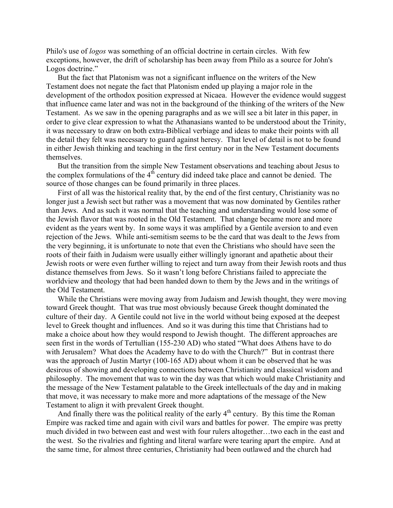Philo's use of *logos* was something of an official doctrine in certain circles. With few exceptions, however, the drift of scholarship has been away from Philo as a source for John's Logos doctrine."

But the fact that Platonism was not a significant influence on the writers of the New Testament does not negate the fact that Platonism ended up playing a major role in the development of the orthodox position expressed at Nicaea. However the evidence would suggest that influence came later and was not in the background of the thinking of the writers of the New Testament. As we saw in the opening paragraphs and as we will see a bit later in this paper, in order to give clear expression to what the Athanasians wanted to be understood about the Trinity, it was necessary to draw on both extra-Biblical verbiage and ideas to make their points with all the detail they felt was necessary to guard against heresy. That level of detail is not to be found in either Jewish thinking and teaching in the first century nor in the New Testament documents themselves.

But the transition from the simple New Testament observations and teaching about Jesus to the complex formulations of the  $4<sup>th</sup>$  century did indeed take place and cannot be denied. The source of those changes can be found primarily in three places.

First of all was the historical reality that, by the end of the first century, Christianity was no longer just a Jewish sect but rather was a movement that was now dominated by Gentiles rather than Jews. And as such it was normal that the teaching and understanding would lose some of the Jewish flavor that was rooted in the Old Testament. That change became more and more evident as the years went by. In some ways it was amplified by a Gentile aversion to and even rejection of the Jews. While anti-semitism seems to be the card that was dealt to the Jews from the very beginning, it is unfortunate to note that even the Christians who should have seen the roots of their faith in Judaism were usually either willingly ignorant and apathetic about their Jewish roots or were even further willing to reject and turn away from their Jewish roots and thus distance themselves from Jews. So it wasn't long before Christians failed to appreciate the worldview and theology that had been handed down to them by the Jews and in the writings of the Old Testament.

While the Christians were moving away from Judaism and Jewish thought, they were moving toward Greek thought. That was true most obviously because Greek thought dominated the culture of their day. A Gentile could not live in the world without being exposed at the deepest level to Greek thought and influences. And so it was during this time that Christians had to make a choice about how they would respond to Jewish thought. The different approaches are seen first in the words of Tertullian (155-230 AD) who stated "What does Athens have to do with Jerusalem? What does the Academy have to do with the Church?" But in contrast there was the approach of Justin Martyr (100-165 AD) about whom it can be observed that he was desirous of showing and developing connections between Christianity and classical wisdom and philosophy. The movement that was to win the day was that which would make Christianity and the message of the New Testament palatable to the Greek intellectuals of the day and in making that move, it was necessary to make more and more adaptations of the message of the New Testament to align it with prevalent Greek thought.

And finally there was the political reality of the early  $4<sup>th</sup>$  century. By this time the Roman Empire was racked time and again with civil wars and battles for power. The empire was pretty much divided in two between east and west with four rulers altogether…two each in the east and the west. So the rivalries and fighting and literal warfare were tearing apart the empire. And at the same time, for almost three centuries, Christianity had been outlawed and the church had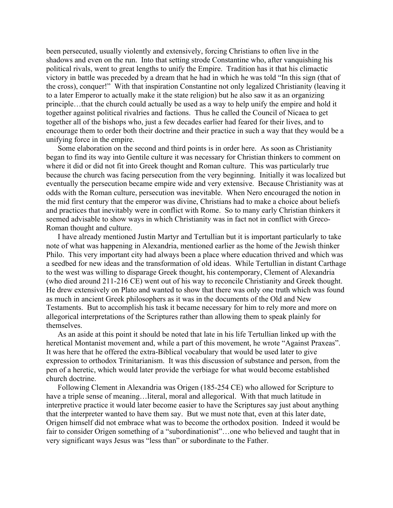been persecuted, usually violently and extensively, forcing Christians to often live in the shadows and even on the run. Into that setting strode Constantine who, after vanquishing his political rivals, went to great lengths to unify the Empire. Tradition has it that his climactic victory in battle was preceded by a dream that he had in which he was told "In this sign (that of the cross), conquer!" With that inspiration Constantine not only legalized Christianity (leaving it to a later Emperor to actually make it the state religion) but he also saw it as an organizing principle…that the church could actually be used as a way to help unify the empire and hold it together against political rivalries and factions. Thus he called the Council of Nicaea to get together all of the bishops who, just a few decades earlier had feared for their lives, and to encourage them to order both their doctrine and their practice in such a way that they would be a unifying force in the empire.

Some elaboration on the second and third points is in order here. As soon as Christianity began to find its way into Gentile culture it was necessary for Christian thinkers to comment on where it did or did not fit into Greek thought and Roman culture. This was particularly true because the church was facing persecution from the very beginning. Initially it was localized but eventually the persecution became empire wide and very extensive. Because Christianity was at odds with the Roman culture, persecution was inevitable. When Nero encouraged the notion in the mid first century that the emperor was divine, Christians had to make a choice about beliefs and practices that inevitably were in conflict with Rome. So to many early Christian thinkers it seemed advisable to show ways in which Christianity was in fact not in conflict with Greco-Roman thought and culture.

I have already mentioned Justin Martyr and Tertullian but it is important particularly to take note of what was happening in Alexandria, mentioned earlier as the home of the Jewish thinker Philo. This very important city had always been a place where education thrived and which was a seedbed for new ideas and the transformation of old ideas. While Tertullian in distant Carthage to the west was willing to disparage Greek thought, his contemporary, Clement of Alexandria (who died around 211-216 CE) went out of his way to reconcile Christianity and Greek thought. He drew extensively on Plato and wanted to show that there was only one truth which was found as much in ancient Greek philosophers as it was in the documents of the Old and New Testaments. But to accomplish his task it became necessary for him to rely more and more on allegorical interpretations of the Scriptures rather than allowing them to speak plainly for themselves.

As an aside at this point it should be noted that late in his life Tertullian linked up with the heretical Montanist movement and, while a part of this movement, he wrote "Against Praxeas". It was here that he offered the extra-Biblical vocabulary that would be used later to give expression to orthodox Trinitarianism. It was this discussion of substance and person, from the pen of a heretic, which would later provide the verbiage for what would become established church doctrine.

Following Clement in Alexandria was Origen (185-254 CE) who allowed for Scripture to have a triple sense of meaning...literal, moral and allegorical. With that much latitude in interpretive practice it would later become easier to have the Scriptures say just about anything that the interpreter wanted to have them say. But we must note that, even at this later date, Origen himself did not embrace what was to become the orthodox position. Indeed it would be fair to consider Origen something of a "subordinationist"…one who believed and taught that in very significant ways Jesus was "less than" or subordinate to the Father.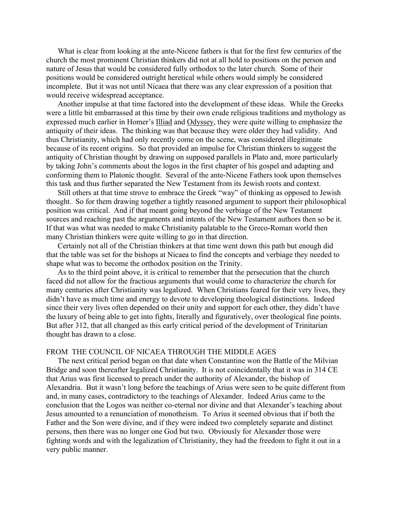What is clear from looking at the ante-Nicene fathers is that for the first few centuries of the church the most prominent Christian thinkers did not at all hold to positions on the person and nature of Jesus that would be considered fully orthodox to the later church. Some of their positions would be considered outright heretical while others would simply be considered incomplete. But it was not until Nicaea that there was any clear expression of a position that would receive widespread acceptance.

Another impulse at that time factored into the development of these ideas. While the Greeks were a little bit embarrassed at this time by their own crude religious traditions and mythology as expressed much earlier in Homer's Illiad and Odyssey, they were quite willing to emphasize the antiquity of their ideas. The thinking was that because they were older they had validity. And thus Christianity, which had only recently come on the scene, was considered illegitimate because of its recent origins. So that provided an impulse for Christian thinkers to suggest the antiquity of Christian thought by drawing on supposed parallels in Plato and, more particularly by taking John's comments about the logos in the first chapter of his gospel and adapting and conforming them to Platonic thought. Several of the ante-Nicene Fathers took upon themselves this task and thus further separated the New Testament from its Jewish roots and context.

Still others at that time strove to embrace the Greek "way" of thinking as opposed to Jewish thought. So for them drawing together a tightly reasoned argument to support their philosophical position was critical. And if that meant going beyond the verbiage of the New Testament sources and reaching past the arguments and intents of the New Testament authors then so be it. If that was what was needed to make Christianity palatable to the Greco-Roman world then many Christian thinkers were quite willing to go in that direction.

Certainly not all of the Christian thinkers at that time went down this path but enough did that the table was set for the bishops at Nicaea to find the concepts and verbiage they needed to shape what was to become the orthodox position on the Trinity.

As to the third point above, it is critical to remember that the persecution that the church faced did not allow for the fractious arguments that would come to characterize the church for many centuries after Christianity was legalized. When Christians feared for their very lives, they didn't have as much time and energy to devote to developing theological distinctions. Indeed since their very lives often depended on their unity and support for each other, they didn't have the luxury of being able to get into fights, literally and figuratively, over theological fine points. But after 312, that all changed as this early critical period of the development of Trinitarian thought has drawn to a close.

## FROM THE COUNCIL OF NICAEA THROUGH THE MIDDLE AGES

The next critical period began on that date when Constantine won the Battle of the Milvian Bridge and soon thereafter legalized Christianity. It is not coincidentally that it was in 314 CE that Arius was first licensed to preach under the authority of Alexander, the bishop of Alexandria. But it wasn't long before the teachings of Arius were seen to be quite different from and, in many cases, contradictory to the teachings of Alexander. Indeed Arius came to the conclusion that the Logos was neither co-eternal nor divine and that Alexander's teaching about Jesus amounted to a renunciation of monotheism. To Arius it seemed obvious that if both the Father and the Son were divine, and if they were indeed two completely separate and distinct persons, then there was no longer one God but two. Obviously for Alexander those were fighting words and with the legalization of Christianity, they had the freedom to fight it out in a very public manner.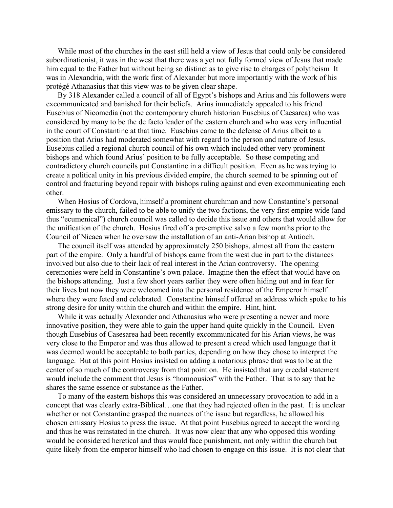While most of the churches in the east still held a view of Jesus that could only be considered subordinationist, it was in the west that there was a yet not fully formed view of Jesus that made him equal to the Father but without being so distinct as to give rise to charges of polytheism It was in Alexandria, with the work first of Alexander but more importantly with the work of his protégé Athanasius that this view was to be given clear shape.

By 318 Alexander called a council of all of Egypt's bishops and Arius and his followers were excommunicated and banished for their beliefs. Arius immediately appealed to his friend Eusebius of Nicomedia (not the contemporary church historian Eusebius of Caesarea) who was considered by many to be the de facto leader of the eastern church and who was very influential in the court of Constantine at that time. Eusebius came to the defense of Arius albeit to a position that Arius had moderated somewhat with regard to the person and nature of Jesus. Eusebius called a regional church council of his own which included other very prominent bishops and which found Arius' position to be fully acceptable. So these competing and contradictory church councils put Constantine in a difficult position. Even as he was trying to create a political unity in his previous divided empire, the church seemed to be spinning out of control and fracturing beyond repair with bishops ruling against and even excommunicating each other.

When Hosius of Cordova, himself a prominent churchman and now Constantine's personal emissary to the church, failed to be able to unify the two factions, the very first empire wide (and thus "ecumenical") church council was called to decide this issue and others that would allow for the unification of the church. Hosius fired off a pre-emptive salvo a few months prior to the Council of Nicaea when he oversaw the installation of an anti-Arian bishop at Antioch.

The council itself was attended by approximately 250 bishops, almost all from the eastern part of the empire. Only a handful of bishops came from the west due in part to the distances involved but also due to their lack of real interest in the Arian controversy. The opening ceremonies were held in Constantine's own palace. Imagine then the effect that would have on the bishops attending. Just a few short years earlier they were often hiding out and in fear for their lives but now they were welcomed into the personal residence of the Emperor himself where they were feted and celebrated. Constantine himself offered an address which spoke to his strong desire for unity within the church and within the empire. Hint, hint.

While it was actually Alexander and Athanasius who were presenting a newer and more innovative position, they were able to gain the upper hand quite quickly in the Council. Even though Eusebius of Casesarea had been recently excommunicated for his Arian views, he was very close to the Emperor and was thus allowed to present a creed which used language that it was deemed would be acceptable to both parties, depending on how they chose to interpret the language. But at this point Hosius insisted on adding a notorious phrase that was to be at the center of so much of the controversy from that point on. He insisted that any creedal statement would include the comment that Jesus is "homoousios" with the Father. That is to say that he shares the same essence or substance as the Father.

To many of the eastern bishops this was considered an unnecessary provocation to add in a concept that was clearly extra-Biblical…one that they had rejected often in the past. It is unclear whether or not Constantine grasped the nuances of the issue but regardless, he allowed his chosen emissary Hosius to press the issue. At that point Eusebius agreed to accept the wording and thus he was reinstated in the church. It was now clear that any who opposed this wording would be considered heretical and thus would face punishment, not only within the church but quite likely from the emperor himself who had chosen to engage on this issue. It is not clear that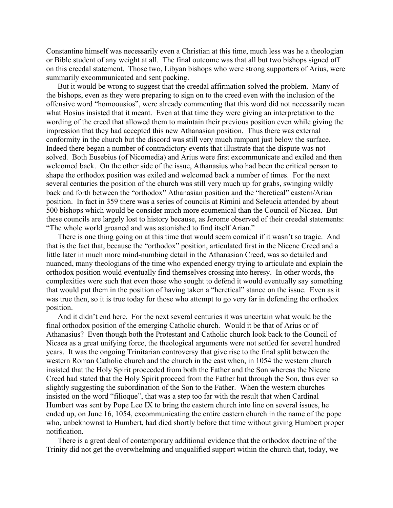Constantine himself was necessarily even a Christian at this time, much less was he a theologian or Bible student of any weight at all. The final outcome was that all but two bishops signed off on this creedal statement. Those two, Libyan bishops who were strong supporters of Arius, were summarily excommunicated and sent packing.

But it would be wrong to suggest that the creedal affirmation solved the problem. Many of the bishops, even as they were preparing to sign on to the creed even with the inclusion of the offensive word "homoousios", were already commenting that this word did not necessarily mean what Hosius insisted that it meant. Even at that time they were giving an interpretation to the wording of the creed that allowed them to maintain their previous position even while giving the impression that they had accepted this new Athanasian position. Thus there was external conformity in the church but the discord was still very much rampant just below the surface. Indeed there began a number of contradictory events that illustrate that the dispute was not solved. Both Eusebius (of Nicomedia) and Arius were first excommunicate and exiled and then welcomed back. On the other side of the issue, Athanasius who had been the critical person to shape the orthodox position was exiled and welcomed back a number of times. For the next several centuries the position of the church was still very much up for grabs, swinging wildly back and forth between the "orthodox" Athanasian position and the "heretical" eastern/Arian position. In fact in 359 there was a series of councils at Rimini and Seleucia attended by about 500 bishops which would be consider much more ecumenical than the Council of Nicaea. But these councils are largely lost to history because, as Jerome observed of their creedal statements: "The whole world groaned and was astonished to find itself Arian."

There is one thing going on at this time that would seem comical if it wasn't so tragic. And that is the fact that, because the "orthodox" position, articulated first in the Nicene Creed and a little later in much more mind-numbing detail in the Athanasian Creed, was so detailed and nuanced, many theologians of the time who expended energy trying to articulate and explain the orthodox position would eventually find themselves crossing into heresy. In other words, the complexities were such that even those who sought to defend it would eventually say something that would put them in the position of having taken a "heretical" stance on the issue. Even as it was true then, so it is true today for those who attempt to go very far in defending the orthodox position.

And it didn't end here. For the next several centuries it was uncertain what would be the final orthodox position of the emerging Catholic church. Would it be that of Arius or of Athanasius? Even though both the Protestant and Catholic church look back to the Council of Nicaea as a great unifying force, the theological arguments were not settled for several hundred years. It was the ongoing Trinitarian controversy that give rise to the final split between the western Roman Catholic church and the church in the east when, in 1054 the western church insisted that the Holy Spirit proceeded from both the Father and the Son whereas the Nicene Creed had stated that the Holy Spirit proceed from the Father but through the Son, thus ever so slightly suggesting the subordination of the Son to the Father. When the western churches insisted on the word "filioque", that was a step too far with the result that when Cardinal Humbert was sent by Pope Leo IX to bring the eastern church into line on several issues, he ended up, on June 16, 1054, excommunicating the entire eastern church in the name of the pope who, unbeknownst to Humbert, had died shortly before that time without giving Humbert proper notification.

There is a great deal of contemporary additional evidence that the orthodox doctrine of the Trinity did not get the overwhelming and unqualified support within the church that, today, we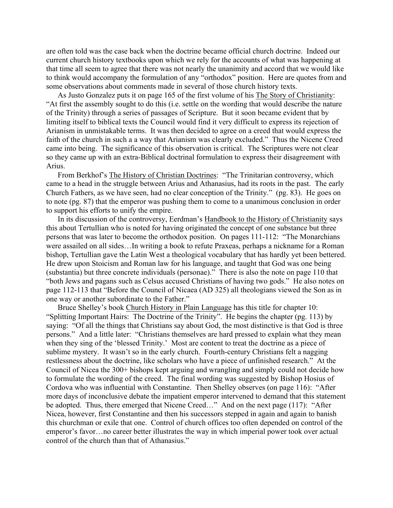are often told was the case back when the doctrine became official church doctrine. Indeed our current church history textbooks upon which we rely for the accounts of what was happening at that time all seem to agree that there was not nearly the unanimity and accord that we would like to think would accompany the formulation of any "orthodox" position. Here are quotes from and some observations about comments made in several of those church history texts.

As Justo Gonzalez puts it on page 165 of the first volume of his The Story of Christianity: "At first the assembly sought to do this (i.e. settle on the wording that would describe the nature of the Trinity) through a series of passages of Scripture. But it soon became evident that by limiting itself to biblical texts the Council would find it very difficult to express its rejection of Arianism in unmistakable terms. It was then decided to agree on a creed that would express the faith of the church in such a a way that Arianism was clearly excluded." Thus the Nicene Creed came into being. The significance of this observation is critical. The Scriptures were not clear so they came up with an extra-Biblical doctrinal formulation to express their disagreement with Arius.

From Berkhof's The History of Christian Doctrines: "The Trinitarian controversy, which came to a head in the struggle between Arius and Athanasius, had its roots in the past. The early Church Fathers, as we have seen, had no clear conception of the Trinity." (pg. 83). He goes on to note (pg. 87) that the emperor was pushing them to come to a unanimous conclusion in order to support his efforts to unify the empire.

In its discussion of the controversy, Eerdman's Handbook to the History of Christianity says this about Tertullian who is noted for having originated the concept of one substance but three persons that was later to become the orthodox position. On pages 111-112: "The Monarchians were assailed on all sides…In writing a book to refute Praxeas, perhaps a nickname for a Roman bishop, Tertullian gave the Latin West a theological vocabulary that has hardly yet been bettered. He drew upon Stoicism and Roman law for his language, and taught that God was one being (substantia) but three concrete individuals (personae)." There is also the note on page 110 that "both Jews and pagans such as Celsus accused Christians of having two gods." He also notes on page 112-113 that "Before the Council of Nicaea (AD 325) all theologians viewed the Son as in one way or another subordinate to the Father."

Bruce Shelley's book Church History in Plain Language has this title for chapter 10: "Splitting Important Hairs: The Doctrine of the Trinity". He begins the chapter (pg. 113) by saying: "Of all the things that Christians say about God, the most distinctive is that God is three persons." And a little later: "Christians themselves are hard pressed to explain what they mean when they sing of the 'blessed Trinity.' Most are content to treat the doctrine as a piece of sublime mystery. It wasn't so in the early church. Fourth-century Christians felt a nagging restlessness about the doctrine, like scholars who have a piece of unfinished research." At the Council of Nicea the 300+ bishops kept arguing and wrangling and simply could not decide how to formulate the wording of the creed. The final wording was suggested by Bishop Hosius of Cordova who was influential with Constantine. Then Shelley observes (on page 116): "After more days of inconclusive debate the impatient emperor intervened to demand that this statement be adopted. Thus, there emerged that Nicene Creed…" And on the next page (117): "After Nicea, however, first Constantine and then his successors stepped in again and again to banish this churchman or exile that one. Control of church offices too often depended on control of the emperor's favor…no career better illustrates the way in which imperial power took over actual control of the church than that of Athanasius."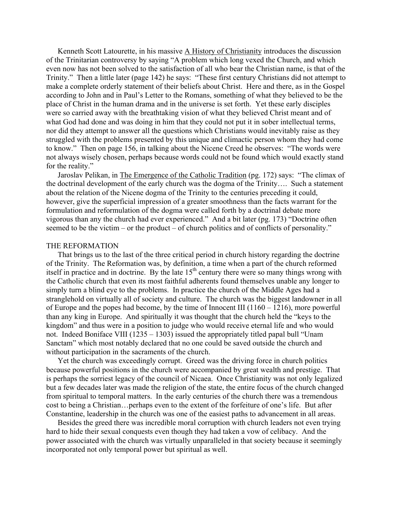Kenneth Scott Latourette, in his massive A History of Christianity introduces the discussion of the Trinitarian controversy by saying "A problem which long vexed the Church, and which even now has not been solved to the satisfaction of all who bear the Christian name, is that of the Trinity." Then a little later (page 142) he says: "These first century Christians did not attempt to make a complete orderly statement of their beliefs about Christ. Here and there, as in the Gospel according to John and in Paul's Letter to the Romans, something of what they believed to be the place of Christ in the human drama and in the universe is set forth. Yet these early disciples were so carried away with the breathtaking vision of what they believed Christ meant and of what God had done and was doing in him that they could not put it in sober intellectual terms, nor did they attempt to answer all the questions which Christians would inevitably raise as they struggled with the problems presented by this unique and climactic person whom they had come to know." Then on page 156, in talking about the Nicene Creed he observes: "The words were not always wisely chosen, perhaps because words could not be found which would exactly stand for the reality."

Jaroslav Pelikan, in The Emergence of the Catholic Tradition (pg. 172) says: "The climax of the doctrinal development of the early church was the dogma of the Trinity…. Such a statement about the relation of the Nicene dogma of the Trinity to the centuries preceding it could, however, give the superficial impression of a greater smoothness than the facts warrant for the formulation and reformulation of the dogma were called forth by a doctrinal debate more vigorous than any the church had ever experienced." And a bit later (pg. 173) "Doctrine often seemed to be the victim – or the product – of church politics and of conflicts of personality."

## THE REFORMATION

That brings us to the last of the three critical period in church history regarding the doctrine of the Trinity. The Reformation was, by definition, a time when a part of the church reformed itself in practice and in doctrine. By the late  $15<sup>th</sup>$  century there were so many things wrong with the Catholic church that even its most faithful adherents found themselves unable any longer to simply turn a blind eye to the problems. In practice the church of the Middle Ages had a stranglehold on virtually all of society and culture. The church was the biggest landowner in all of Europe and the popes had become, by the time of Innocent III (1160 – 1216), more powerful than any king in Europe. And spiritually it was thought that the church held the "keys to the kingdom" and thus were in a position to judge who would receive eternal life and who would not. Indeed Boniface VIII (1235 – 1303) issued the appropriately titled papal bull "Unam Sanctam" which most notably declared that no one could be saved outside the church and without participation in the sacraments of the church.

Yet the church was exceedingly corrupt. Greed was the driving force in church politics because powerful positions in the church were accompanied by great wealth and prestige. That is perhaps the sorriest legacy of the council of Nicaea. Once Christianity was not only legalized but a few decades later was made the religion of the state, the entire focus of the church changed from spiritual to temporal matters. In the early centuries of the church there was a tremendous cost to being a Christian…perhaps even to the extent of the forfeiture of one's life. But after Constantine, leadership in the church was one of the easiest paths to advancement in all areas.

Besides the greed there was incredible moral corruption with church leaders not even trying hard to hide their sexual conquests even though they had taken a vow of celibacy. And the power associated with the church was virtually unparalleled in that society because it seemingly incorporated not only temporal power but spiritual as well.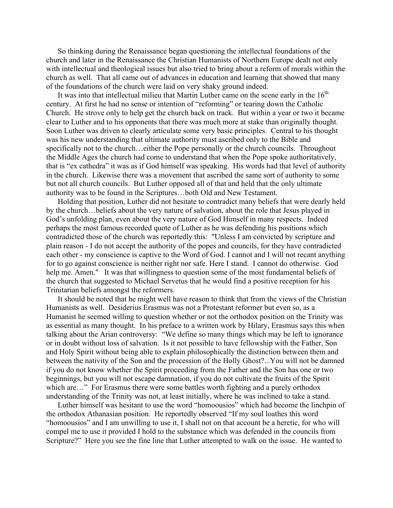So thinking during the Renaissance began questioning the intellectual foundations of the church and later in the Renaissance the Christian Humanists of Northern Europe dealt not only with intellectual and theological issues but also tried to bring about a reform of morals within the church as well. That all came out of advances in education and learning that showed that many of the foundations of the church were laid on very shaky ground indeed.

It was into that intellectual milieu that Martin Luther came on the scene early in the  $16<sup>th</sup>$ century. At first he had no sense or intention of "reforming" or tearing down the Catholic Church. He strove only to help get the church back on track. But within a year or two it became clear to Luther and to his opponents that there was much more at stake than originally thought. Soon Luther was driven to clearly articulate some very basic principles. Central to his thought was his new understanding that ultimate authority must ascribed only to the Bible and specifically not to the church…either the Pope personally or the church councils. Throughout the Middle Ages the church had come to understand that when the Pope spoke authoritatively, that is "ex cathedra" it was as if God himself was speaking. His words had that level of authority in the church. Likewise there was a movement that ascribed the same sort of authority to some but not all church councils. But Luther opposed all of that and held that the only ultimate authority was to be found in the Scriptures…both Old and New Testament.

Holding that position, Luther did not hesitate to contradict many beliefs that were dearly held by the church…beliefs about the very nature of salvation, about the role that Jesus played in God's unfolding plan, even about the very nature of God Himself in many respects. Indeed perhaps the most famous recorded quote of Luther as he was defending his positions which contradicted those of the church was reportedly this: "Unless I am convicted by scripture and plain reason - I do not accept the authority of the popes and councils, for they have contradicted each other - my conscience is captive to the Word of God. I cannot and I will not recant anything for to go against conscience is neither right nor safe. Here I stand. I cannot do otherwise. God help me. Amen." It was that willingness to question some of the most fundamental beliefs of the church that suggested to Michael Servetus that he would find a positive reception for his Trinitarian beliefs amongst the reformers.

It should be noted that he might well have reason to think that from the views of the Christian Humanists as well. Desiderius Erasmus was not a Protestant reformer but even so, as a Humanist he seemed willing to question whether or not the orthodox position on the Trinity was as essential as many thought. In his preface to a written work by Hilary, Erasmus says this when talking about the Arian controversy: "We define so many things which may be left to ignorance or in doubt without loss of salvation. Is it not possible to have fellowship with the Father, Son and Holy Spirit without being able to explain philosophically the distinction between them and between the nativity of the Son and the procession of the Holly Ghost?...You will not be damned if you do not know whether the Spirit proceeding from the Father and the Son has one or two beginnings, but you will not escape damnation, if you do not cultivate the fruits of the Spirit which are…" For Erasmus there were some battles worth fighting and a purely orthodox understanding of the Trinity was not, at least initially, where he was inclined to take a stand.

Luther himself was hesitant to use the word "homoousios" which had become the linchpin of the orthodox Athanasian position. He reportedly observed "If my soul loathes this word "homoousios" and I am unwilling to use it, I shall not on that account be a heretic, for who will compel me to use it provided I hold to the substance which was defended in the councils from Scripture?" Here you see the fine line that Luther attempted to walk on the issue. He wanted to